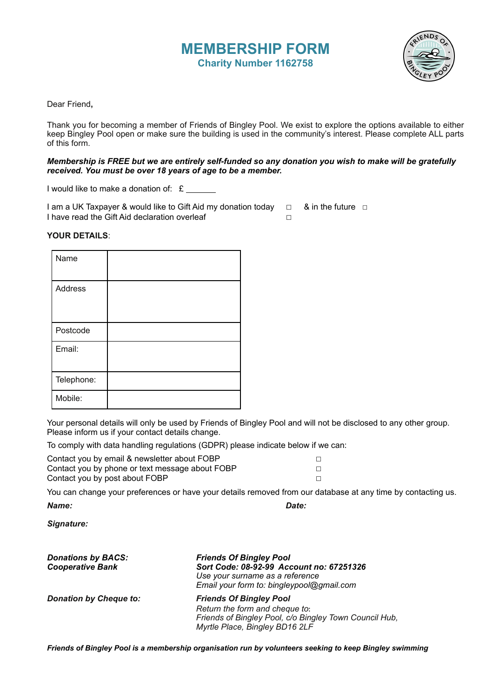## **MEMBERSHIP FORM Charity Number 1162758**



Dear Friend**,**

Thank you for becoming a member of Friends of Bingley Pool. We exist to explore the options available to either keep Bingley Pool open or make sure the building is used in the community's interest. Please complete ALL parts of this form.

## *Membership is FREE but we are entirely self-funded so any donation you wish to make will be gratefully received. You must be over 18 years of age to be a member.*

I would like to make a donation of: £

I am a UK Taxpayer & would like to Gift Aid my donation today □ & in the future □ I have read the Gift Aid declaration overleaf  $□$ 

## **YOUR DETAILS**:

| Name           |  |
|----------------|--|
| <b>Address</b> |  |
| Postcode       |  |
| Email:         |  |
| Telephone:     |  |
| Mobile:        |  |

Your personal details will only be used by Friends of Bingley Pool and will not be disclosed to any other group. Please inform us if your contact details change.

To comply with data handling regulations (GDPR) please indicate below if we can:

| Contact you by email & newsletter about FOBP    |  |
|-------------------------------------------------|--|
| Contact you by phone or text message about FOBP |  |
| Contact you by post about FOBP                  |  |

You can change your preferences or have your details removed from our database at any time by contacting us. *Name: Date:* 

*Signature:* 

| <b>Donations by BACS:</b><br><b>Cooperative Bank</b> | <b>Friends Of Bingley Pool</b><br>Sort Code: 08-92-99 Account no: 67251326<br>Use your surname as a reference<br>Email your form to: bingleypool@gmail.com   |
|------------------------------------------------------|--------------------------------------------------------------------------------------------------------------------------------------------------------------|
| <b>Donation by Cheque to:</b>                        | <b>Friends Of Bingley Pool</b><br>Return the form and cheque to:<br>Friends of Bingley Pool, c/o Bingley Town Council Hub,<br>Myrtle Place, Bingley BD16 2LF |

*Friends of Bingley Pool is a membership organisation run by volunteers seeking to keep Bingley swimming*